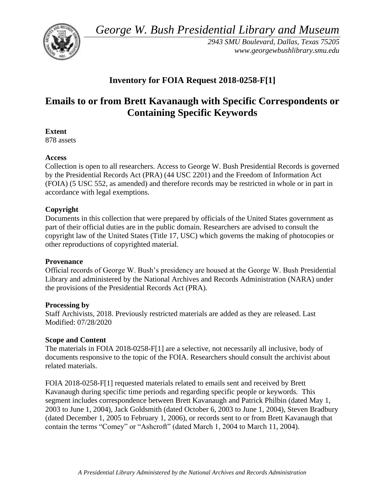*George W. Bush Presidential Library and Museum* 



*2943 SMU Boulevard, Dallas, Texas 75205 <www.georgewbushlibrary.smu.edu>*

## **Inventory for FOIA Request 2018-0258-F[1]**

# **Emails to or from Brett Kavanaugh with Specific Correspondents or Containing Specific Keywords**

**Extent** 

878 assets

### **Access**

Collection is open to all researchers. Access to George W. Bush Presidential Records is governed by the Presidential Records Act (PRA) (44 USC 2201) and the Freedom of Information Act (FOIA) (5 USC 552, as amended) and therefore records may be restricted in whole or in part in accordance with legal exemptions.

## **Copyright**

Documents in this collection that were prepared by officials of the United States government as part of their official duties are in the public domain. Researchers are advised to consult the copyright law of the United States (Title 17, USC) which governs the making of photocopies or other reproductions of copyrighted material.

#### **Provenance**

Official records of George W. Bush's presidency are housed at the George W. Bush Presidential Library and administered by the National Archives and Records Administration (NARA) under the provisions of the Presidential Records Act (PRA).

#### **Processing by**

Staff Archivists, 2018. Previously restricted materials are added as they are released. Last Modified: 07/28/2020

#### **Scope and Content**

The materials in FOIA 2018-0258-F[1] are a selective, not necessarily all inclusive, body of documents responsive to the topic of the FOIA. Researchers should consult the archivist about related materials.

FOIA 2018-0258-F[1] requested materials related to emails sent and received by Brett Kavanaugh during specific time periods and regarding specific people or keywords. This segment includes correspondence between Brett Kavanaugh and Patrick Philbin (dated May 1, 2003 to June 1, 2004), Jack Goldsmith (dated October 6, 2003 to June 1, 2004), Steven Bradbury (dated December 1, 2005 to February 1, 2006), or records sent to or from Brett Kavanaugh that contain the terms "Comey" or "Ashcroft" (dated March 1, 2004 to March 11, 2004).